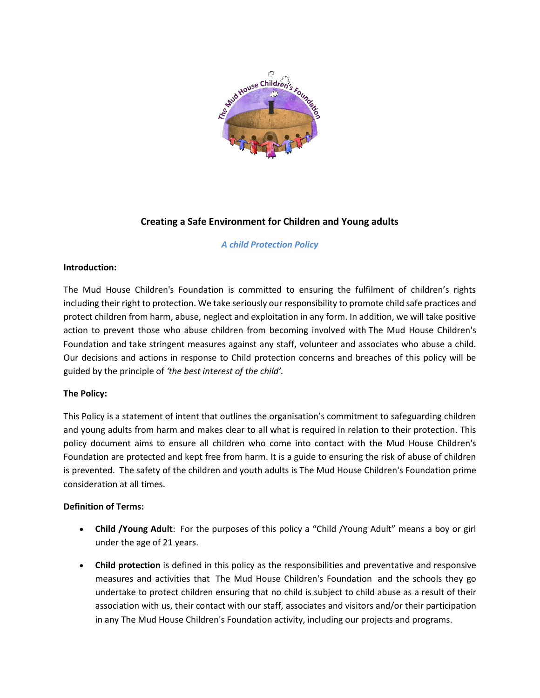

# **Creating a Safe Environment for Children and Young adults**

### *A child Protection Policy*

#### **Introduction:**

The Mud House Children's Foundation is committed to ensuring the fulfilment of children's rights including their right to protection. We take seriously our responsibility to promote child safe practices and protect children from harm, abuse, neglect and exploitation in any form. In addition, we will take positive action to prevent those who abuse children from becoming involved with The Mud House Children's Foundation and take stringent measures against any staff, volunteer and associates who abuse a child. Our decisions and actions in response to Child protection concerns and breaches of this policy will be guided by the principle of *'the best interest of the child'.*

## **The Policy:**

This Policy is a statement of intent that outlines the organisation's commitment to safeguarding children and young adults from harm and makes clear to all what is required in relation to their protection. This policy document aims to ensure all children who come into contact with the Mud House Children's Foundation are protected and kept free from harm. It is a guide to ensuring the risk of abuse of children is prevented. The safety of the children and youth adults is The Mud House Children's Foundation prime consideration at all times.

#### **Definition of Terms:**

- **Child /Young Adult**: For the purposes of this policy a "Child /Young Adult" means a boy or girl under the age of 21 years.
- **Child protection** is defined in this policy as the responsibilities and preventative and responsive measures and activities that The Mud House Children's Foundation and the schools they go undertake to protect children ensuring that no child is subject to child abuse as a result of their association with us, their contact with our staff, associates and visitors and/or their participation in any The Mud House Children's Foundation activity, including our projects and programs.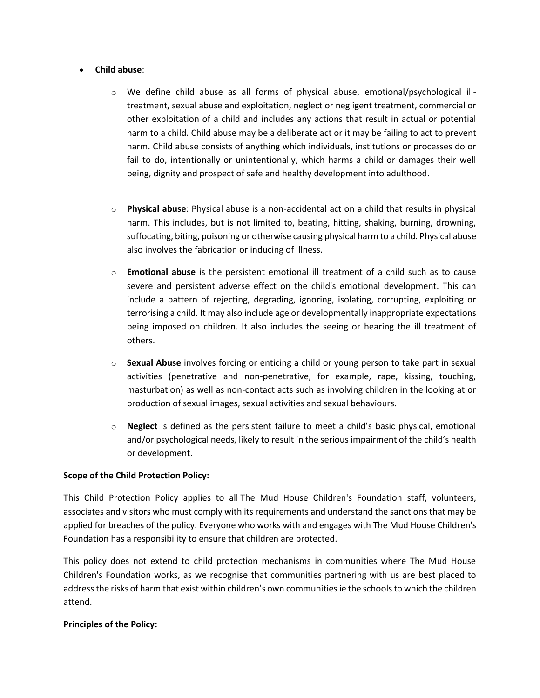#### • **Child abuse**:

- o We define child abuse as all forms of physical abuse, emotional/psychological illtreatment, sexual abuse and exploitation, neglect or negligent treatment, commercial or other exploitation of a child and includes any actions that result in actual or potential harm to a child. Child abuse may be a deliberate act or it may be failing to act to prevent harm. Child abuse consists of anything which individuals, institutions or processes do or fail to do, intentionally or unintentionally, which harms a child or damages their well being, dignity and prospect of safe and healthy development into adulthood.
- o **Physical abuse**: Physical abuse is a non-accidental act on a child that results in physical harm. This includes, but is not limited to, beating, hitting, shaking, burning, drowning, suffocating, biting, poisoning or otherwise causing physical harm to a child. Physical abuse also involves the fabrication or inducing of illness.
- o **Emotional abuse** is the persistent emotional ill treatment of a child such as to cause severe and persistent adverse effect on the child's emotional development. This can include a pattern of rejecting, degrading, ignoring, isolating, corrupting, exploiting or terrorising a child. It may also include age or developmentally inappropriate expectations being imposed on children. It also includes the seeing or hearing the ill treatment of others.
- o **Sexual Abuse** involves forcing or enticing a child or young person to take part in sexual activities (penetrative and non-penetrative, for example, rape, kissing, touching, masturbation) as well as non-contact acts such as involving children in the looking at or production of sexual images, sexual activities and sexual behaviours.
- o **Neglect** is defined as the persistent failure to meet a child's basic physical, emotional and/or psychological needs, likely to result in the serious impairment of the child's health or development.

#### **Scope of the Child Protection Policy:**

This Child Protection Policy applies to all The Mud House Children's Foundation staff, volunteers, associates and visitors who must comply with its requirements and understand the sanctions that may be applied for breaches of the policy. Everyone who works with and engages with The Mud House Children's Foundation has a responsibility to ensure that children are protected.

This policy does not extend to child protection mechanisms in communities where The Mud House Children's Foundation works, as we recognise that communities partnering with us are best placed to address the risks of harm that exist within children's own communities ie the schools to which the children attend.

#### **Principles of the Policy:**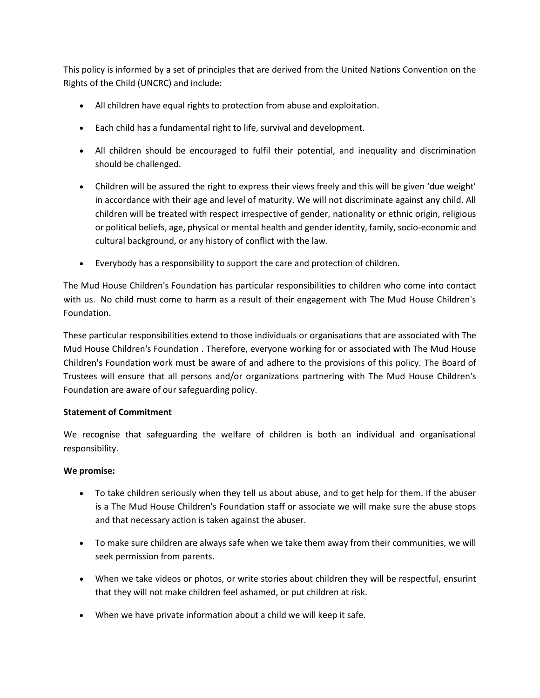This policy is informed by a set of principles that are derived from the United Nations Convention on the Rights of the Child (UNCRC) and include:

- All children have equal rights to protection from abuse and exploitation.
- Each child has a fundamental right to life, survival and development.
- All children should be encouraged to fulfil their potential, and inequality and discrimination should be challenged.
- Children will be assured the right to express their views freely and this will be given 'due weight' in accordance with their age and level of maturity. We will not discriminate against any child. All children will be treated with respect irrespective of gender, nationality or ethnic origin, religious or political beliefs, age, physical or mental health and gender identity, family, socio-economic and cultural background, or any history of conflict with the law.
- Everybody has a responsibility to support the care and protection of children.

The Mud House Children's Foundation has particular responsibilities to children who come into contact with us. No child must come to harm as a result of their engagement with The Mud House Children's Foundation.

These particular responsibilities extend to those individuals or organisations that are associated with The Mud House Children's Foundation . Therefore, everyone working for or associated with The Mud House Children's Foundation work must be aware of and adhere to the provisions of this policy. The Board of Trustees will ensure that all persons and/or organizations partnering with The Mud House Children's Foundation are aware of our safeguarding policy.

#### **Statement of Commitment**

We recognise that safeguarding the welfare of children is both an individual and organisational responsibility.

#### **We promise:**

- To take children seriously when they tell us about abuse, and to get help for them. If the abuser is a The Mud House Children's Foundation staff or associate we will make sure the abuse stops and that necessary action is taken against the abuser.
- To make sure children are always safe when we take them away from their communities, we will seek permission from parents.
- When we take videos or photos, or write stories about children they will be respectful, ensurint that they will not make children feel ashamed, or put children at risk.
- When we have private information about a child we will keep it safe.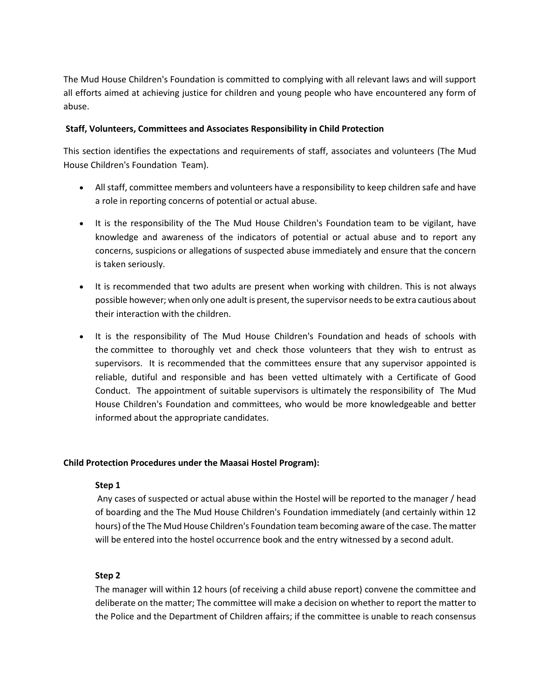The Mud House Children's Foundation is committed to complying with all relevant laws and will support all efforts aimed at achieving justice for children and young people who have encountered any form of abuse.

#### **Staff, Volunteers, Committees and Associates Responsibility in Child Protection**

This section identifies the expectations and requirements of staff, associates and volunteers (The Mud House Children's Foundation Team).

- All staff, committee members and volunteers have a responsibility to keep children safe and have a role in reporting concerns of potential or actual abuse.
- It is the responsibility of the The Mud House Children's Foundation team to be vigilant, have knowledge and awareness of the indicators of potential or actual abuse and to report any concerns, suspicions or allegations of suspected abuse immediately and ensure that the concern is taken seriously.
- It is recommended that two adults are present when working with children. This is not always possible however; when only one adult is present, the supervisor needs to be extra cautious about their interaction with the children.
- It is the responsibility of The Mud House Children's Foundation and heads of schools with the committee to thoroughly vet and check those volunteers that they wish to entrust as supervisors. It is recommended that the committees ensure that any supervisor appointed is reliable, dutiful and responsible and has been vetted ultimately with a Certificate of Good Conduct. The appointment of suitable supervisors is ultimately the responsibility of The Mud House Children's Foundation and committees, who would be more knowledgeable and better informed about the appropriate candidates.

#### **Child Protection Procedures under the Maasai Hostel Program):**

#### **Step 1**

Any cases of suspected or actual abuse within the Hostel will be reported to the manager / head of boarding and the The Mud House Children's Foundation immediately (and certainly within 12 hours) of the The Mud House Children's Foundation team becoming aware of the case. The matter will be entered into the hostel occurrence book and the entry witnessed by a second adult.

#### **Step 2**

The manager will within 12 hours (of receiving a child abuse report) convene the committee and deliberate on the matter; The committee will make a decision on whether to report the matter to the Police and the Department of Children affairs; if the committee is unable to reach consensus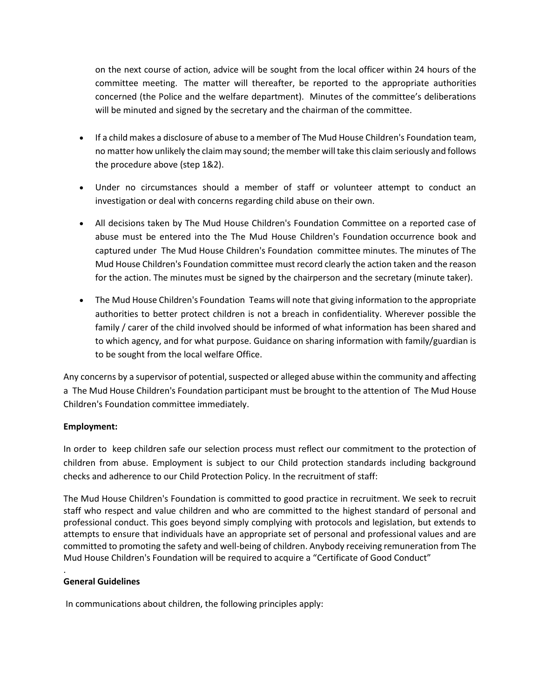on the next course of action, advice will be sought from the local officer within 24 hours of the committee meeting. The matter will thereafter, be reported to the appropriate authorities concerned (the Police and the welfare department). Minutes of the committee's deliberations will be minuted and signed by the secretary and the chairman of the committee.

- If a child makes a disclosure of abuse to a member of The Mud House Children's Foundation team, no matter how unlikely the claim may sound; the member will take this claim seriously and follows the procedure above (step 1&2).
- Under no circumstances should a member of staff or volunteer attempt to conduct an investigation or deal with concerns regarding child abuse on their own.
- All decisions taken by The Mud House Children's Foundation Committee on a reported case of abuse must be entered into the The Mud House Children's Foundation occurrence book and captured under The Mud House Children's Foundation committee minutes. The minutes of The Mud House Children's Foundation committee must record clearly the action taken and the reason for the action. The minutes must be signed by the chairperson and the secretary (minute taker).
- The Mud House Children's Foundation Teams will note that giving information to the appropriate authorities to better protect children is not a breach in confidentiality. Wherever possible the family / carer of the child involved should be informed of what information has been shared and to which agency, and for what purpose. Guidance on sharing information with family/guardian is to be sought from the local welfare Office.

Any concerns by a supervisor of potential, suspected or alleged abuse within the community and affecting a The Mud House Children's Foundation participant must be brought to the attention of The Mud House Children's Foundation committee immediately.

## **Employment:**

In order to keep children safe our selection process must reflect our commitment to the protection of children from abuse. Employment is subject to our Child protection standards including background checks and adherence to our Child Protection Policy. In the recruitment of staff:

The Mud House Children's Foundation is committed to good practice in recruitment. We seek to recruit staff who respect and value children and who are committed to the highest standard of personal and professional conduct. This goes beyond simply complying with protocols and legislation, but extends to attempts to ensure that individuals have an appropriate set of personal and professional values and are committed to promoting the safety and well-being of children. Anybody receiving remuneration from The Mud House Children's Foundation will be required to acquire a "Certificate of Good Conduct"

#### **General Guidelines**

.

In communications about children, the following principles apply: